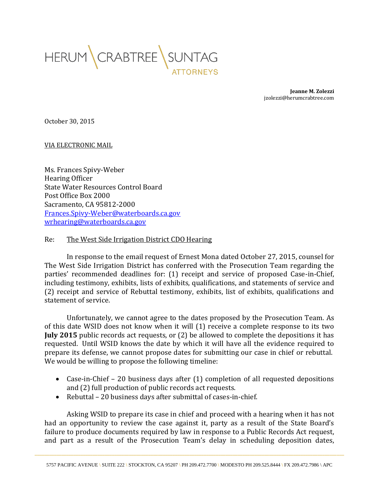

**Jeanne M. Zolezzi** jzolezzi@herumcrabtree.com

October 30, 2015

## VIA ELECTRONIC MAIL

Ms. Frances Spivy-Weber Hearing Officer State Water Resources Control Board Post Office Box 2000 Sacramento, CA 95812-2000 [Frances.Spivy-Weber@waterboards.ca.gov](mailto:Frances.Spivy-Weber@waterboards.ca.gov) [wrhearing@waterboards.ca.gov](mailto:wrhearing@waterboards.ca.gov)

## Re: The West Side Irrigation District CDO Hearing

In response to the email request of Ernest Mona dated October 27, 2015, counsel for The West Side Irrigation District has conferred with the Prosecution Team regarding the parties' recommended deadlines for: (1) receipt and service of proposed Case-in-Chief, including testimony, exhibits, lists of exhibits, qualifications, and statements of service and (2) receipt and service of Rebuttal testimony, exhibits, list of exhibits, qualifications and statement of service.

Unfortunately, we cannot agree to the dates proposed by the Prosecution Team. As of this date WSID does not know when it will (1) receive a complete response to its two **July 2015** public records act requests, or (2) be allowed to complete the depositions it has requested. Until WSID knows the date by which it will have all the evidence required to prepare its defense, we cannot propose dates for submitting our case in chief or rebuttal. We would be willing to propose the following timeline:

- Case-in-Chief 20 business days after (1) completion of all requested depositions and (2) full production of public records act requests.
- Rebuttal 20 business days after submittal of cases-in-chief.

Asking WSID to prepare its case in chief and proceed with a hearing when it has not had an opportunity to review the case against it, party as a result of the State Board's failure to produce documents required by law in response to a Public Records Act request, and part as a result of the Prosecution Team's delay in scheduling deposition dates,